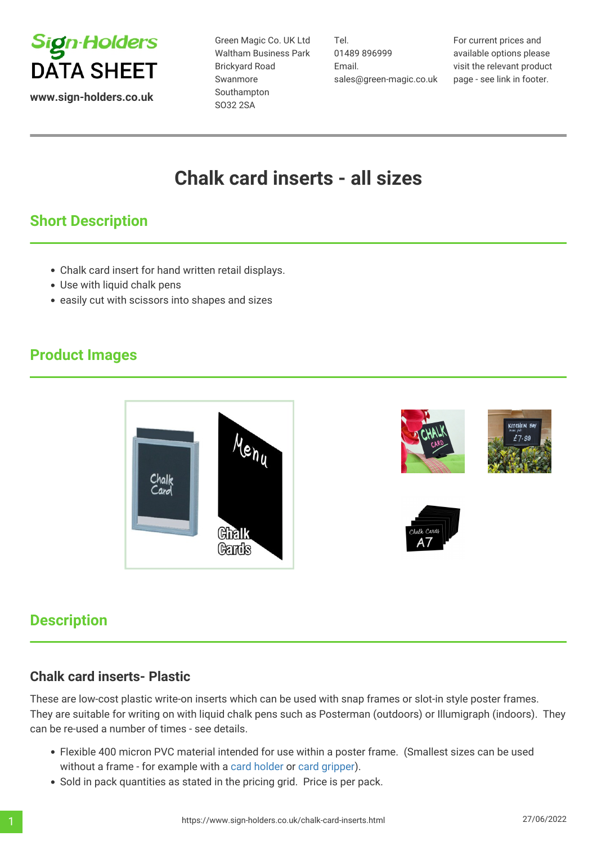

**www.sign-holders.co.uk**

Green Magic Co. UK Ltd Waltham Business Park Brickyard Road Swanmore Southampton SO32 2SA

Tel. 01489 896999 Email. sales@green-magic.co.uk For current prices and available options please visit the relevant product page - see link in footer.

# **Chalk card inserts - all sizes**

## **Short Description**

- Chalk card insert for hand written retail displays.
- Use with liquid chalk pens
- easily cut with scissors into shapes and sizes

### **Product Images**



#### **Description**

#### **Chalk card inserts- Plastic**

These are low-cost plastic write-on inserts which can be used with snap frames or slot-in style poster frames. They are suitable for writing on with liquid chalk pens such as Posterman (outdoors) or Illumigraph (indoors). They can be re-used a number of times - see details.

- Flexible 400 micron PVC material intended for use within a poster frame. (Smallest sizes can be used without a frame - for example with a [card holder](https://www.sign-holders.co.uk/table-sign-holders/display-clip-holders.html) or [card gripper\)](https://www.sign-holders.co.uk/retail-signage/card-grippers.html).
- Sold in pack quantities as stated in the pricing grid. Price is per pack.